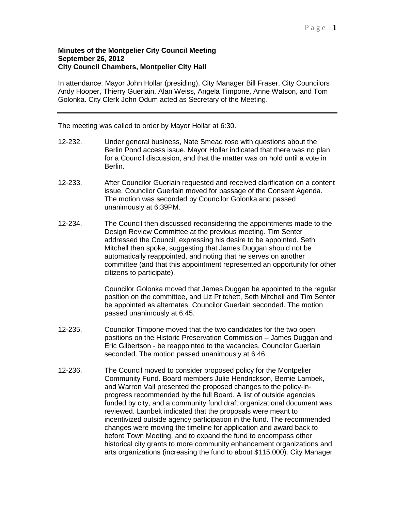## **Minutes of the Montpelier City Council Meeting September 26, 2012 City Council Chambers, Montpelier City Hall**

In attendance: Mayor John Hollar (presiding), City Manager Bill Fraser, City Councilors Andy Hooper, Thierry Guerlain, Alan Weiss, Angela Timpone, Anne Watson, and Tom Golonka. City Clerk John Odum acted as Secretary of the Meeting.

The meeting was called to order by Mayor Hollar at 6:30.

- 12-232. Under general business, Nate Smead rose with questions about the Berlin Pond access issue. Mayor Hollar indicated that there was no plan for a Council discussion, and that the matter was on hold until a vote in Berlin.
- 12-233. After Councilor Guerlain requested and received clarification on a content issue, Councilor Guerlain moved for passage of the Consent Agenda. The motion was seconded by Councilor Golonka and passed unanimously at 6:39PM.
- 12-234. The Council then discussed reconsidering the appointments made to the Design Review Committee at the previous meeting. Tim Senter addressed the Council, expressing his desire to be appointed. Seth Mitchell then spoke, suggesting that James Duggan should not be automatically reappointed, and noting that he serves on another committee (and that this appointment represented an opportunity for other citizens to participate).

Councilor Golonka moved that James Duggan be appointed to the regular position on the committee, and Liz Pritchett, Seth Mitchell and Tim Senter be appointed as alternates. Councilor Guerlain seconded. The motion passed unanimously at 6:45.

- 12-235. Councilor Timpone moved that the two candidates for the two open positions on the Historic Preservation Commission – James Duggan and Eric Gilbertson - be reappointed to the vacancies. Councilor Guerlain seconded. The motion passed unanimously at 6:46.
- 12-236. The Council moved to consider proposed policy for the Montpelier Community Fund. Board members Julie Hendrickson, Bernie Lambek, and Warren Vail presented the proposed changes to the policy-inprogress recommended by the full Board. A list of outside agencies funded by city, and a community fund draft organizational document was reviewed. Lambek indicated that the proposals were meant to incentivized outside agency participation in the fund. The recommended changes were moving the timeline for application and award back to before Town Meeting, and to expand the fund to encompass other historical city grants to more community enhancement organizations and arts organizations (increasing the fund to about \$115,000). City Manager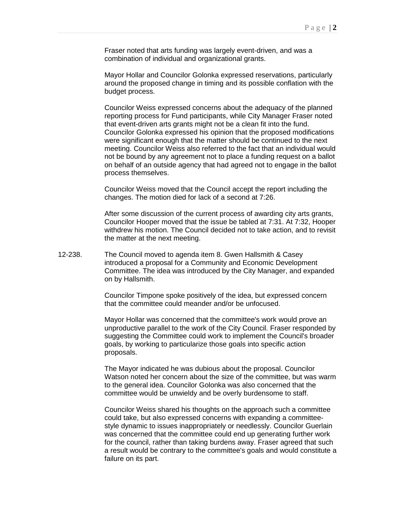Fraser noted that arts funding was largely event-driven, and was a combination of individual and organizational grants.

Mayor Hollar and Councilor Golonka expressed reservations, particularly around the proposed change in timing and its possible conflation with the budget process.

Councilor Weiss expressed concerns about the adequacy of the planned reporting process for Fund participants, while City Manager Fraser noted that event-driven arts grants might not be a clean fit into the fund. Councilor Golonka expressed his opinion that the proposed modifications were significant enough that the matter should be continued to the next meeting. Councilor Weiss also referred to the fact that an individual would not be bound by any agreement not to place a funding request on a ballot on behalf of an outside agency that had agreed not to engage in the ballot process themselves.

Councilor Weiss moved that the Council accept the report including the changes. The motion died for lack of a second at 7:26.

After some discussion of the current process of awarding city arts grants, Councilor Hooper moved that the issue be tabled at 7:31. At 7:32, Hooper withdrew his motion. The Council decided not to take action, and to revisit the matter at the next meeting.

12-238. The Council moved to agenda item 8. Gwen Hallsmith & Casey introduced a proposal for a Community and Economic Development Committee. The idea was introduced by the City Manager, and expanded on by Hallsmith.

> Councilor Timpone spoke positively of the idea, but expressed concern that the committee could meander and/or be unfocused.

Mayor Hollar was concerned that the committee's work would prove an unproductive parallel to the work of the City Council. Fraser responded by suggesting the Committee could work to implement the Council's broader goals, by working to particularize those goals into specific action proposals.

The Mayor indicated he was dubious about the proposal. Councilor Watson noted her concern about the size of the committee, but was warm to the general idea. Councilor Golonka was also concerned that the committee would be unwieldy and be overly burdensome to staff.

Councilor Weiss shared his thoughts on the approach such a committee could take, but also expressed concerns with expanding a committeestyle dynamic to issues inappropriately or needlessly. Councilor Guerlain was concerned that the committee could end up generating further work for the council, rather than taking burdens away. Fraser agreed that such a result would be contrary to the committee's goals and would constitute a failure on its part.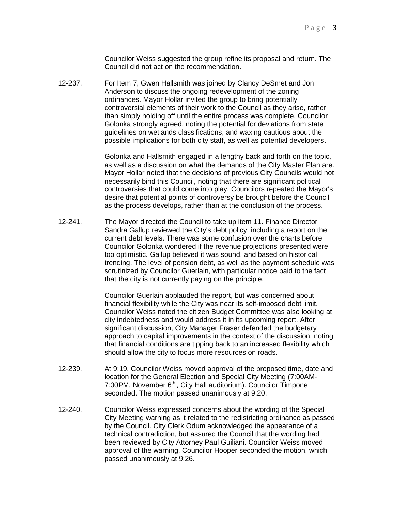Councilor Weiss suggested the group refine its proposal and return. The Council did not act on the recommendation.

12-237. For Item 7, Gwen Hallsmith was joined by Clancy DeSmet and Jon Anderson to discuss the ongoing redevelopment of the zoning ordinances. Mayor Hollar invited the group to bring potentially controversial elements of their work to the Council as they arise, rather than simply holding off until the entire process was complete. Councilor Golonka strongly agreed, noting the potential for deviations from state guidelines on wetlands classifications, and waxing cautious about the possible implications for both city staff, as well as potential developers.

> Golonka and Hallsmith engaged in a lengthy back and forth on the topic, as well as a discussion on what the demands of the City Master Plan are. Mayor Hollar noted that the decisions of previous City Councils would not necessarily bind this Council, noting that there are significant political controversies that could come into play. Councilors repeated the Mayor's desire that potential points of controversy be brought before the Council as the process develops, rather than at the conclusion of the process.

12-241. The Mayor directed the Council to take up item 11. Finance Director Sandra Gallup reviewed the City's debt policy, including a report on the current debt levels. There was some confusion over the charts before Councilor Golonka wondered if the revenue projections presented were too optimistic. Gallup believed it was sound, and based on historical trending. The level of pension debt, as well as the payment schedule was scrutinized by Councilor Guerlain, with particular notice paid to the fact that the city is not currently paying on the principle.

> Councilor Guerlain applauded the report, but was concerned about financial flexibility while the City was near its self-imposed debt limit. Councilor Weiss noted the citizen Budget Committee was also looking at city indebtedness and would address it in its upcoming report. After significant discussion, City Manager Fraser defended the budgetary approach to capital improvements in the context of the discussion, noting that financial conditions are tipping back to an increased flexibility which should allow the city to focus more resources on roads.

- 12-239. At 9:19, Councilor Weiss moved approval of the proposed time, date and location for the General Election and Special City Meeting (7:00AM-7:00PM, November 6<sup>th,</sup>, City Hall auditorium). Councilor Timpone seconded. The motion passed unanimously at 9:20.
- 12-240. Councilor Weiss expressed concerns about the wording of the Special City Meeting warning as it related to the redistricting ordinance as passed by the Council. City Clerk Odum acknowledged the appearance of a technical contradiction, but assured the Council that the wording had been reviewed by City Attorney Paul Guiliani. Councilor Weiss moved approval of the warning. Councilor Hooper seconded the motion, which passed unanimously at 9:26.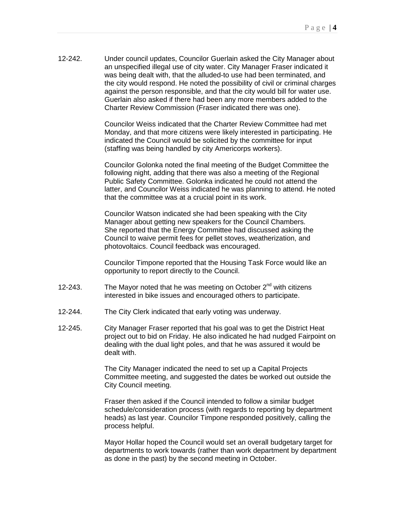12-242. Under council updates, Councilor Guerlain asked the City Manager about an unspecified illegal use of city water. City Manager Fraser indicated it was being dealt with, that the alluded-to use had been terminated, and the city would respond. He noted the possibility of civil or criminal charges against the person responsible, and that the city would bill for water use. Guerlain also asked if there had been any more members added to the Charter Review Commission (Fraser indicated there was one).

> Councilor Weiss indicated that the Charter Review Committee had met Monday, and that more citizens were likely interested in participating. He indicated the Council would be solicited by the committee for input (staffing was being handled by city Americorps workers).

Councilor Golonka noted the final meeting of the Budget Committee the following night, adding that there was also a meeting of the Regional Public Safety Committee. Golonka indicated he could not attend the latter, and Councilor Weiss indicated he was planning to attend. He noted that the committee was at a crucial point in its work.

Councilor Watson indicated she had been speaking with the City Manager about getting new speakers for the Council Chambers. She reported that the Energy Committee had discussed asking the Council to waive permit fees for pellet stoves, weatherization, and photovoltaics. Council feedback was encouraged.

Councilor Timpone reported that the Housing Task Force would like an opportunity to report directly to the Council.

- 12-243. The Mayor noted that he was meeting on October  $2^{nd}$  with citizens interested in bike issues and encouraged others to participate.
- 12-244. The City Clerk indicated that early voting was underway.
- 12-245. City Manager Fraser reported that his goal was to get the District Heat project out to bid on Friday. He also indicated he had nudged Fairpoint on dealing with the dual light poles, and that he was assured it would be dealt with.

The City Manager indicated the need to set up a Capital Projects Committee meeting, and suggested the dates be worked out outside the City Council meeting.

Fraser then asked if the Council intended to follow a similar budget schedule/consideration process (with regards to reporting by department heads) as last year. Councilor Timpone responded positively, calling the process helpful.

Mayor Hollar hoped the Council would set an overall budgetary target for departments to work towards (rather than work department by department as done in the past) by the second meeting in October.